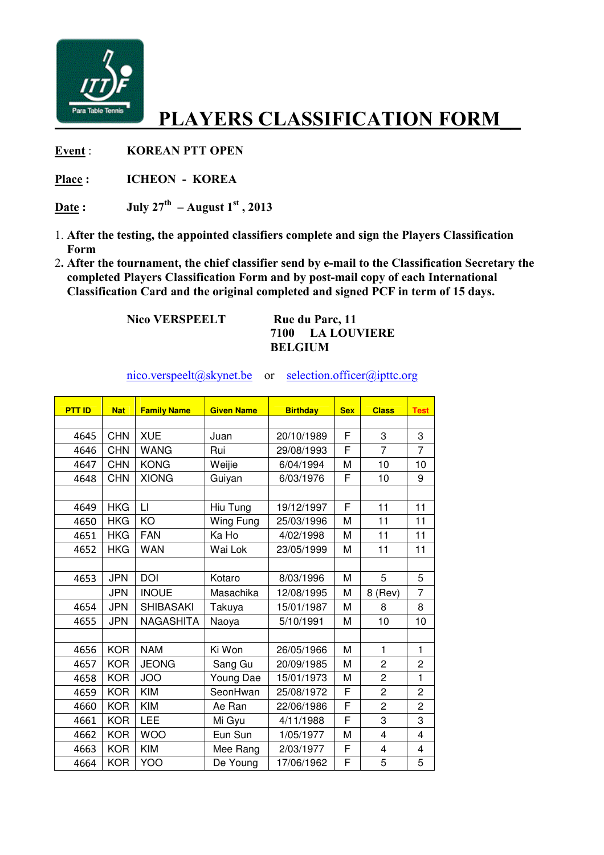

## PLAYERS CLASSIFICATION FORM

Event : KOREAN PTT OPEN

Place : ICHEON - KOREA

Date : July  $27<sup>th</sup>$  – August  $1<sup>st</sup>$ , 2013

- 1. After the testing, the appointed classifiers complete and sign the Players Classification Form
- . After the tournament, the chief classifier send by e-mail to the Classification Secretary the completed Players Classification Form and by post-mail copy of each International Classification Card and the original completed and signed PCF in term of 15 days.

Nico VERSPEELT Rue du Parc, 11

## LA LOUVIERE BELGIUM

nico.verspeelt@skynet.be or selection.officer@ipttc.org

| <b>PTT ID</b> | <b>Nat</b> | <b>Family Name</b> | <b>Given Name</b> | <b>Birthday</b> | <b>Sex</b> | <b>Class</b>   | <b>Test</b>    |
|---------------|------------|--------------------|-------------------|-----------------|------------|----------------|----------------|
|               |            |                    |                   |                 |            |                |                |
| 4645          | <b>CHN</b> | <b>XUE</b>         | Juan              | 20/10/1989      | F          | 3              | 3              |
| 4646          | <b>CHN</b> | <b>WANG</b>        | Rui               | 29/08/1993      | F          | $\overline{7}$ | $\overline{7}$ |
| 4647          | <b>CHN</b> | <b>KONG</b>        | Weijie            | 6/04/1994       | M          | 10             | 10             |
| 4648          | <b>CHN</b> | <b>XIONG</b>       | Guiyan            | 6/03/1976       | F          | 10             | 9              |
|               |            |                    |                   |                 |            |                |                |
| 4649          | <b>HKG</b> | LI                 | Hiu Tung          | 19/12/1997      | F          | 11             | 11             |
| 4650          | <b>HKG</b> | KO                 | Wing Fung         | 25/03/1996      | M          | 11             | 11             |
| 4651          | <b>HKG</b> | <b>FAN</b>         | Ka Ho             | 4/02/1998       | M          | 11             | 11             |
| 4652          | <b>HKG</b> | <b>WAN</b>         | Wai Lok           | 23/05/1999      | M          | 11             | 11             |
|               |            |                    |                   |                 |            |                |                |
| 4653          | <b>JPN</b> | <b>DOI</b>         | Kotaro            | 8/03/1996       | M          | 5              | 5              |
|               | <b>JPN</b> | <b>INOUE</b>       | Masachika         | 12/08/1995      | M          | 8 (Rev)        | $\overline{7}$ |
| 4654          | <b>JPN</b> | <b>SHIBASAKI</b>   | Takuya            | 15/01/1987      | M          | 8              | 8              |
| 4655          | <b>JPN</b> | <b>NAGASHITA</b>   | Naoya             | 5/10/1991       | M          | 10             | 10             |
|               |            |                    |                   |                 |            |                |                |
| 4656          | <b>KOR</b> | <b>NAM</b>         | Ki Won            | 26/05/1966      | M          | $\mathbf{1}$   | $\mathbf{1}$   |
| 4657          | <b>KOR</b> | <b>JEONG</b>       | Sang Gu           | 20/09/1985      | M          | $\overline{c}$ | 2              |
| 4658          | <b>KOR</b> | <b>JOO</b>         | Young Dae         | 15/01/1973      | M          | $\overline{2}$ | $\mathbf{1}$   |
| 4659          | <b>KOR</b> | <b>KIM</b>         | SeonHwan          | 25/08/1972      | F          | $\overline{2}$ | 2              |
| 4660          | <b>KOR</b> | <b>KIM</b>         | Ae Ran            | 22/06/1986      | F          | $\overline{2}$ | $\overline{c}$ |
| 4661          | <b>KOR</b> | LEE                | Mi Gyu            | 4/11/1988       | F          | 3              | 3              |
| 4662          | <b>KOR</b> | <b>WOO</b>         | Eun Sun           | 1/05/1977       | M          | $\overline{4}$ | 4              |
| 4663          | <b>KOR</b> | <b>KIM</b>         | Mee Rang          | 2/03/1977       | F          | $\overline{4}$ | 4              |
| 4664          | <b>KOR</b> | <b>YOO</b>         | De Young          | 17/06/1962      | F          | 5              | 5              |